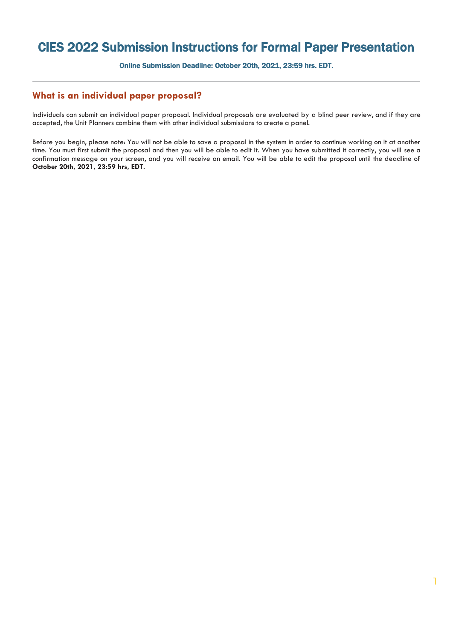## CIES 2022 Submission Instructions for Formal Paper Presentation

Online Submission Deadline: October 20th, 2021, 23:59 hrs. EDT.

## **What is an individual paper proposal?**

Individuals can submit an individual paper proposal. Individual proposals are evaluated by a blind peer review, and if they are accepted, the Unit Planners combine them with other individual submissions to create a panel.

Before you begin, please note: You will not be able to save a proposal in the system in order to continue working on it at another time. You must first submit the proposal and then you will be able to edit it. When you have submitted it correctly, you will see a confirmation message on your screen, and you will receive an email. You will be able to edit the proposal until the deadline of **October 20th, 2021, 23:59 hrs, EDT**.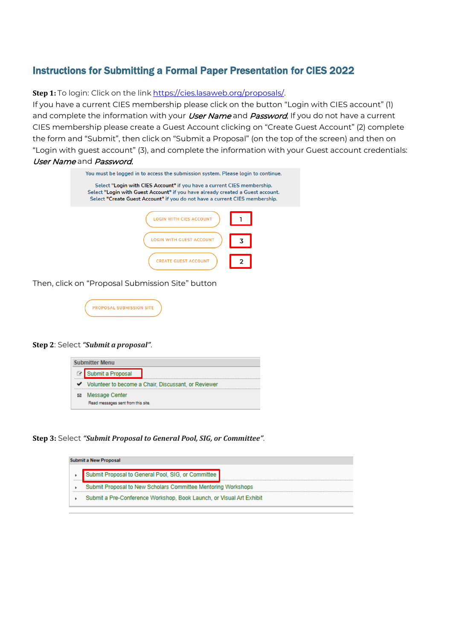## Instructions for Submitting a Formal Paper Presentation for CIES 2022

**Step 1:** To login: Click on the link [https://cies.lasaweb.org/proposals/.](https://cies.lasaweb.org/proposals/)

If you have a current CIES membership please click on the button "Login with CIES account" (1) and complete the information with your *User Name* and *Password*, If you do not have a current CIES membership please create a Guest Account clicking on "Create Guest Account" (2) complete the form and "Submit", then click on "Submit a Proposal" (on the top of the screen) and then on "Login with guest account" (3), and complete the information with your Guest account credentials: User Name and Password.

| You must be logged in to access the submission system. Please login to continue.<br>Select "Login with CIES Account" if you have a current CIES membership.<br>Select "Login with Guest Account" if you have already created a Guest account.<br>Select "Create Guest Account" if you do not have a current CIES membership. |  |  |  |  |  |  |  |
|------------------------------------------------------------------------------------------------------------------------------------------------------------------------------------------------------------------------------------------------------------------------------------------------------------------------------|--|--|--|--|--|--|--|
|                                                                                                                                                                                                                                                                                                                              |  |  |  |  |  |  |  |
| <b>ITH GUEST ACCOUNT</b>                                                                                                                                                                                                                                                                                                     |  |  |  |  |  |  |  |
| CREATE GUEST ACCOUNT                                                                                                                                                                                                                                                                                                         |  |  |  |  |  |  |  |

Then, click on "Proposal Submission Site" button



## **Step 2**: Select *"Submit a proposal"*.



**Step 3:** Select *"Submit Proposal to General Pool, SIG, or Committee"*.

| <b>Submit a New Proposal</b>                                                                   |                                                                      |  |  |  |  |  |  |  |
|------------------------------------------------------------------------------------------------|----------------------------------------------------------------------|--|--|--|--|--|--|--|
|                                                                                                | Submit Proposal to General Pool, SIG, or Committee                   |  |  |  |  |  |  |  |
| <b><i><u>BREERERS</u></i></b><br>Submit Proposal to New Scholars Committee Mentoring Workshops |                                                                      |  |  |  |  |  |  |  |
|                                                                                                | Submit a Pre-Conference Workshop, Book Launch, or Visual Art Exhibit |  |  |  |  |  |  |  |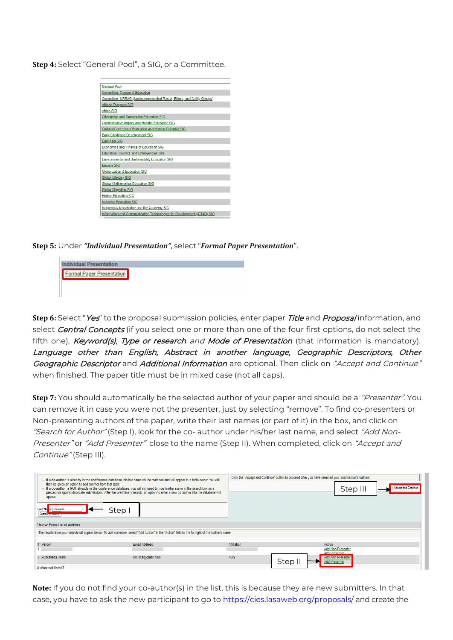**Step 4:** Select "General Pool", a SIG, or a Committee.

| <b>General Pool</b>                                                     |  |
|-------------------------------------------------------------------------|--|
| Committee: Gender & Education                                           |  |
| Committee: UREAG (Under-represented Racial, Ethnic, and Ability Groups) |  |
| African Diaspora SIG                                                    |  |
| Africa SIG                                                              |  |
| <b>Citizenship and Democratic Education SIG</b>                         |  |
| Contemplative Inquiry and Holistic Education SIG                        |  |
| Cultural Contexts of Education and Human Potential SIG                  |  |
| <b>Early Childhood Development SIG</b>                                  |  |
| East Asia SIG                                                           |  |
| <b>Economics and Finance of Education SIG</b>                           |  |
| Education, Conflict, and Emergencies SIG                                |  |
| <b>Environmental and Sustainability Education SIG</b>                   |  |
| <b>Eurasia SIG</b>                                                      |  |
| <b>Globalization &amp; Education SIG</b>                                |  |
| <b>Global Literacy SIG</b>                                              |  |
| <b>Global Mathematics Education SIG</b>                                 |  |
| <b>Global Migration SIG</b>                                             |  |
| <b>Higher Education SIG</b>                                             |  |
| <b>Inclusive Education SIG</b>                                          |  |
| Indigenous Knowledge and the Academy SIG                                |  |
| Information and Communication Technologies for Development (ICT4D) SIG  |  |

**Step 5:** Under *"Individual Presentation"*, select "*Formal Paper Presentation*".



**Step 6:** Select "Yes" to the proposal submission policies, enter paper Title and Proposal information, and select *Central Concepts* (if you select one or more than one of the four first options, do not select the fifth one), Keyword(s), Type or research and Mode of Presentation (that information is mandatory). Language other than English, Abstract in another language, Geographic Descriptors, Other Geographic Descriptor and Additional Information are optional. Then click on "Accept and Continue" when finished. The paper title must be in mixed case (not all caps).

**Step 7:** You should automatically be the selected author of your paper and should be a "Presenter". You can remove it in case you were not the presenter, just by selecting "remove". To find co-presenters or Non-presenting authors of the paper, write their last names (or part of it) in the box, and click on "Search for Author" (Step I), look for the co- author under his/her last name, and select "Add Non-Presenter" or "Add Presenter" close to the name (Step II). When completed, click on "Accept and Continue" (Step III).

| then be given an option to add him/her from that table.<br>Figure 1: If a co-author is NOT already in the conference database, you will still need to type his/her name in the search box as a<br>appear.<br>Last Name ruscalleda<br>Step  <br>Search <b>consumer</b> | F a co-author is already in the conference database, his/her name will be matched and will appear in a table below. You will<br>precaution against duplicate submissions. After the preliminary search, an option to enter a new co-author into the database will |             | Click the "Accept and Continue" button to proceed after you have selected your submission's Authors. | Step III                 | Accept and Continue |  |  |  |
|-----------------------------------------------------------------------------------------------------------------------------------------------------------------------------------------------------------------------------------------------------------------------|-------------------------------------------------------------------------------------------------------------------------------------------------------------------------------------------------------------------------------------------------------------------|-------------|------------------------------------------------------------------------------------------------------|--------------------------|---------------------|--|--|--|
| <b>Choose From List of Authors</b>                                                                                                                                                                                                                                    |                                                                                                                                                                                                                                                                   |             |                                                                                                      |                          |                     |  |  |  |
| The results from your search will appear below. To add someone, select "Add Author" in the "Action" field to the far right of the Author's name.                                                                                                                      |                                                                                                                                                                                                                                                                   |             |                                                                                                      |                          |                     |  |  |  |
|                                                                                                                                                                                                                                                                       |                                                                                                                                                                                                                                                                   |             |                                                                                                      |                          |                     |  |  |  |
| # Person                                                                                                                                                                                                                                                              | <b>Email Address</b>                                                                                                                                                                                                                                              | Affiliation | Action                                                                                               | <b>Add Non-Presenter</b> |                     |  |  |  |
|                                                                                                                                                                                                                                                                       |                                                                                                                                                                                                                                                                   |             | <b>Add Presenter</b>                                                                                 |                          |                     |  |  |  |
| 2 Ruscalleda, Mara                                                                                                                                                                                                                                                    | mrusca@gmail.com                                                                                                                                                                                                                                                  | AOS         | Step II<br><b>Add Presenter</b>                                                                      | <b>Add Non-Presenter</b> |                     |  |  |  |
| <b>Author not listed?</b>                                                                                                                                                                                                                                             |                                                                                                                                                                                                                                                                   |             |                                                                                                      |                          |                     |  |  |  |

**Note:** If you do not find your co-author(s) in the list, this is because they are new submitters. In that case, you have to ask the new participant to go to [https://cies.lasaweb.org/proposals/](https://cies.lasaweb.org/proposals/,) and create the